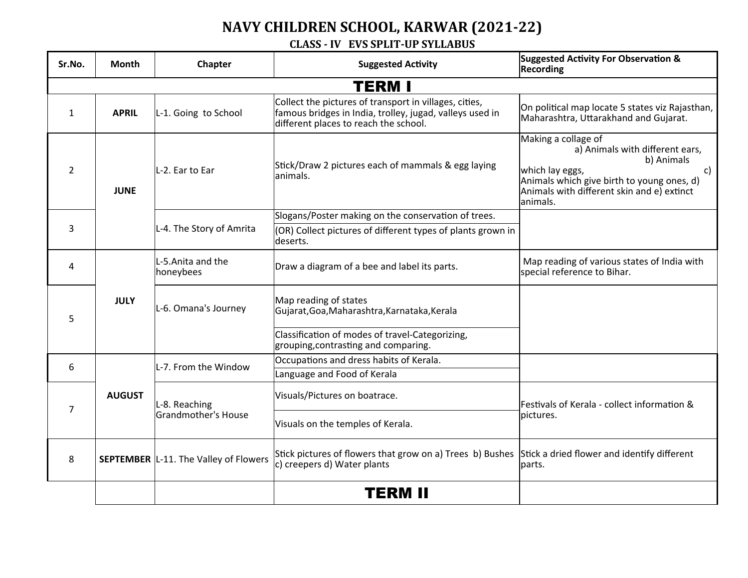## **NAVY CHILDREN SCHOOL, KARWAR (2021-22)**

## **CLASS - IV EVS SPLIT-UP SYLLABUS**

| Sr.No.         | <b>Month</b>  | Chapter                                      | <b>Suggested Activity</b>                                                                                                                                   | <b>Suggested Activity For Observation &amp;</b><br>Recording                                                                                                                                             |  |  |  |
|----------------|---------------|----------------------------------------------|-------------------------------------------------------------------------------------------------------------------------------------------------------------|----------------------------------------------------------------------------------------------------------------------------------------------------------------------------------------------------------|--|--|--|
| <b>TERM I</b>  |               |                                              |                                                                                                                                                             |                                                                                                                                                                                                          |  |  |  |
| $\mathbf{1}$   | <b>APRIL</b>  | L-1. Going to School                         | Collect the pictures of transport in villages, cities,<br>famous bridges in India, trolley, jugad, valleys used in<br>different places to reach the school. | On political map locate 5 states viz Rajasthan,<br>Maharashtra, Uttarakhand and Gujarat.                                                                                                                 |  |  |  |
| $\overline{2}$ | <b>JUNE</b>   | L-2. Ear to Ear                              | Stick/Draw 2 pictures each of mammals & egg laying<br>lanimals.                                                                                             | Making a collage of<br>a) Animals with different ears,<br>b) Animals<br>which lay eggs,<br>c)<br>Animals which give birth to young ones, d)<br>Animals with different skin and $e$ ) extinct<br>animals. |  |  |  |
|                |               | L-4. The Story of Amrita                     | Slogans/Poster making on the conservation of trees.                                                                                                         |                                                                                                                                                                                                          |  |  |  |
| $\overline{3}$ |               |                                              | (OR) Collect pictures of different types of plants grown in<br>deserts.                                                                                     |                                                                                                                                                                                                          |  |  |  |
| 4              |               | L-5. Anita and the<br>honeybees              | Draw a diagram of a bee and label its parts.                                                                                                                | Map reading of various states of India with<br>special reference to Bihar.                                                                                                                               |  |  |  |
| 5              | <b>JULY</b>   | L-6. Omana's Journey                         | Map reading of states<br>Gujarat, Goa, Maharashtra, Karnataka, Kerala                                                                                       |                                                                                                                                                                                                          |  |  |  |
|                |               |                                              | Classification of modes of travel-Categorizing,<br>grouping, contrasting and comparing.                                                                     |                                                                                                                                                                                                          |  |  |  |
| 6              | <b>AUGUST</b> | L-7. From the Window                         | Occupations and dress habits of Kerala.                                                                                                                     |                                                                                                                                                                                                          |  |  |  |
|                |               |                                              | Language and Food of Kerala                                                                                                                                 |                                                                                                                                                                                                          |  |  |  |
| 7              |               | L-8. Reaching<br>Grandmother's House         | Visuals/Pictures on boatrace.                                                                                                                               | Festivals of Kerala - collect information &<br>pictures.                                                                                                                                                 |  |  |  |
|                |               |                                              | Visuals on the temples of Kerala.                                                                                                                           |                                                                                                                                                                                                          |  |  |  |
| 8              |               | <b>SEPTEMBER</b> L-11. The Valley of Flowers | Stick pictures of flowers that grow on a) Trees b) Bushes Stick a dried flower and identify different<br>c) creepers d) Water plants                        | parts.                                                                                                                                                                                                   |  |  |  |
|                |               |                                              | TERM II                                                                                                                                                     |                                                                                                                                                                                                          |  |  |  |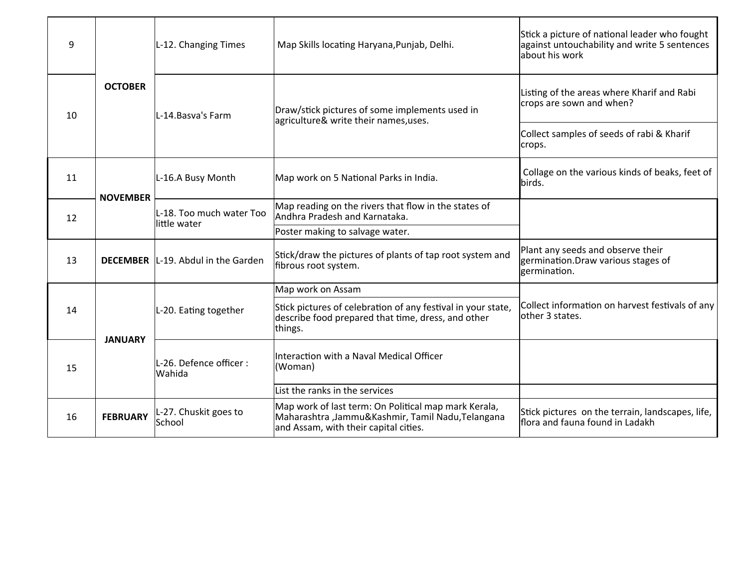| 9  | <b>OCTOBER</b>  | L-12. Changing Times                       | Map Skills locating Haryana, Punjab, Delhi.                                                                                                       | Stick a picture of national leader who fought<br>against untouchability and write 5 sentences<br>about his work |
|----|-----------------|--------------------------------------------|---------------------------------------------------------------------------------------------------------------------------------------------------|-----------------------------------------------------------------------------------------------------------------|
| 10 |                 | L-14. Basva's Farm                         | Draw/stick pictures of some implements used in<br>agriculture& write their names, uses.                                                           | Listing of the areas where Kharif and Rabi<br>crops are sown and when?                                          |
|    |                 |                                            |                                                                                                                                                   | Collect samples of seeds of rabi & Kharif<br>crops.                                                             |
| 11 | <b>NOVEMBER</b> | L-16.A Busy Month                          | Map work on 5 National Parks in India.                                                                                                            | Collage on the various kinds of beaks, feet of<br>birds.                                                        |
| 12 |                 | L-18. Too much water Too<br>little water   | Map reading on the rivers that flow in the states of<br>Andhra Pradesh and Karnataka.                                                             |                                                                                                                 |
|    |                 |                                            | Poster making to salvage water.                                                                                                                   |                                                                                                                 |
| 13 |                 | <b>DECEMBER</b>  L-19. Abdul in the Garden | Stick/draw the pictures of plants of tap root system and<br>fibrous root system.                                                                  | Plant any seeds and observe their<br>germination.Draw various stages of<br>germination.                         |
|    | <b>JANUARY</b>  |                                            | Map work on Assam                                                                                                                                 |                                                                                                                 |
| 14 |                 | L-20. Eating together                      | Stick pictures of celebration of any festival in your state,<br>describe food prepared that time, dress, and other<br>things.                     | Collect information on harvest festivals of any<br>lother 3 states.                                             |
| 15 |                 | L-26. Defence officer :<br><b>Wahida</b>   | Interaction with a Naval Medical Officer<br>(Woman)                                                                                               |                                                                                                                 |
|    |                 |                                            | List the ranks in the services                                                                                                                    |                                                                                                                 |
| 16 | <b>FEBRUARY</b> | L-27. Chuskit goes to<br>School            | Map work of last term: On Political map mark Kerala,<br>Maharashtra ,Jammu&Kashmir, Tamil Nadu,Telangana<br>and Assam, with their capital cities. | Stick pictures on the terrain, landscapes, life,<br>flora and fauna found in Ladakh                             |